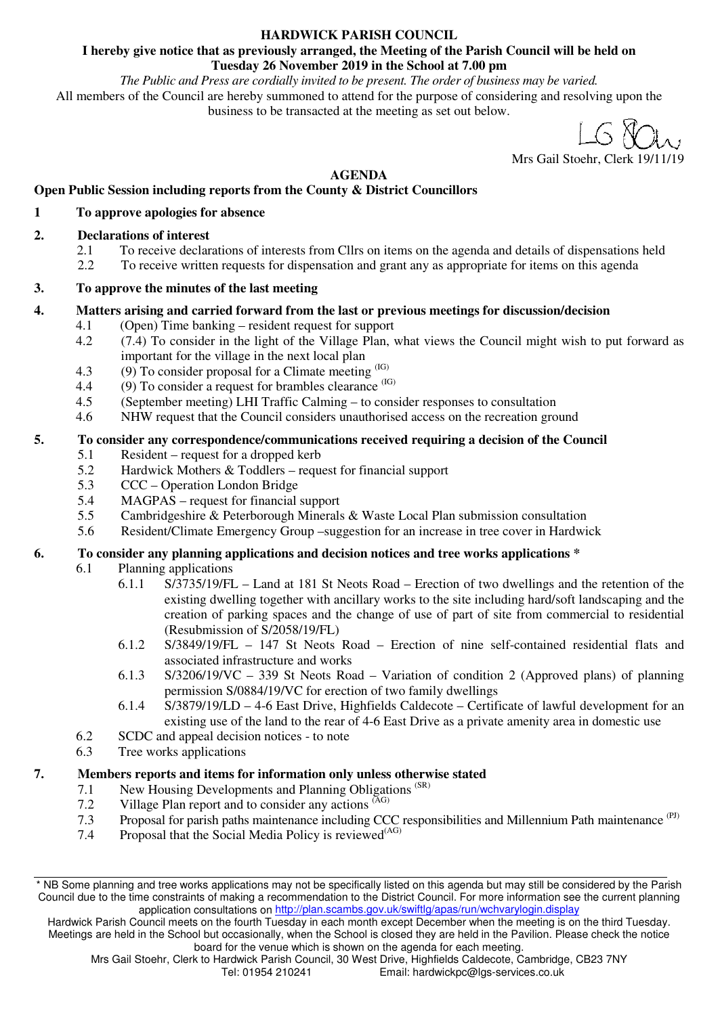## **HARDWICK PARISH COUNCIL**

### **I hereby give notice that as previously arranged, the Meeting of the Parish Council will be held on Tuesday 26 November 2019 in the School at 7.00 pm**

*The Public and Press are cordially invited to be present. The order of business may be varied.*  All members of the Council are hereby summoned to attend for the purpose of considering and resolving upon the business to be transacted at the meeting as set out below.

Mrs Gail Stoehr, Clerk 19/11/19

# **AGENDA**

**Open Public Session including reports from the County & District Councillors** 

# **1 To approve apologies for absence**

# **2. Declarations of interest**

- 2.1 To receive declarations of interests from Cllrs on items on the agenda and details of dispensations held
- 2.2 To receive written requests for dispensation and grant any as appropriate for items on this agenda

# **3. To approve the minutes of the last meeting**

# **4. Matters arising and carried forward from the last or previous meetings for discussion/decision**

- 4.1 (Open) Time banking resident request for support
	- 4.2 (7.4) To consider in the light of the Village Plan, what views the Council might wish to put forward as important for the village in the next local plan
	- 4.3 (9) To consider proposal for a Climate meeting  $^{(IG)}$
	- 4.4 (9) To consider a request for brambles clearance  $^{(IG)}$
	- 4.5 (September meeting) LHI Traffic Calming to consider responses to consultation
	- 4.6 NHW request that the Council considers unauthorised access on the recreation ground

# **5. To consider any correspondence/communications received requiring a decision of the Council**

- 5.1 Resident request for a dropped kerb
- 5.2 Hardwick Mothers & Toddlers request for financial support
- 5.3 CCC Operation London Bridge
- 5.4 MAGPAS request for financial support
- 5.5 Cambridgeshire & Peterborough Minerals & Waste Local Plan submission consultation
- 5.6 Resident/Climate Emergency Group –suggestion for an increase in tree cover in Hardwick

# **6. To consider any planning applications and decision notices and tree works applications \***

6.1 Planning applications

- 6.1.1 S/3735/19/FL Land at 181 St Neots Road Erection of two dwellings and the retention of the existing dwelling together with ancillary works to the site including hard/soft landscaping and the creation of parking spaces and the change of use of part of site from commercial to residential (Resubmission of S/2058/19/FL)
	- 6.1.2 S/3849/19/FL 147 St Neots Road Erection of nine self-contained residential flats and associated infrastructure and works
- 6.1.3 S/3206/19/VC 339 St Neots Road Variation of condition 2 (Approved plans) of planning permission S/0884/19/VC for erection of two family dwellings
- 6.1.4 S/3879/19/LD 4-6 East Drive, Highfields Caldecote Certificate of lawful development for an existing use of the land to the rear of 4-6 East Drive as a private amenity area in domestic use
- 6.2 SCDC and appeal decision notices to note
- 6.3 Tree works applications

# **7. Members reports and items for information only unless otherwise stated**

- 7.1 New Housing Developments and Planning Obligations <sup>(SR)</sup>
- 7.2 Village Plan report and to consider any actions <sup>(AG)</sup>
- 7.3 Proposal for parish paths maintenance including CCC responsibilities and Millennium Path maintenance <sup>(PJ)</sup>
- 7.4 Proposal that the Social Media Policy is reviewed<sup>(AG)</sup>

<sup>\*</sup> NB Some planning and tree works applications may not be specifically listed on this agenda but may still be considered by the Parish Council due to the time constraints of making a recommendation to the District Council. For more information see the current planning application consultations on http://plan.scambs.gov.uk/swiftlg/apas/run/wchvarylogin.display

Hardwick Parish Council meets on the fourth Tuesday in each month except December when the meeting is on the third Tuesday. Meetings are held in the School but occasionally, when the School is closed they are held in the Pavilion. Please check the notice board for the venue which is shown on the agenda for each meeting.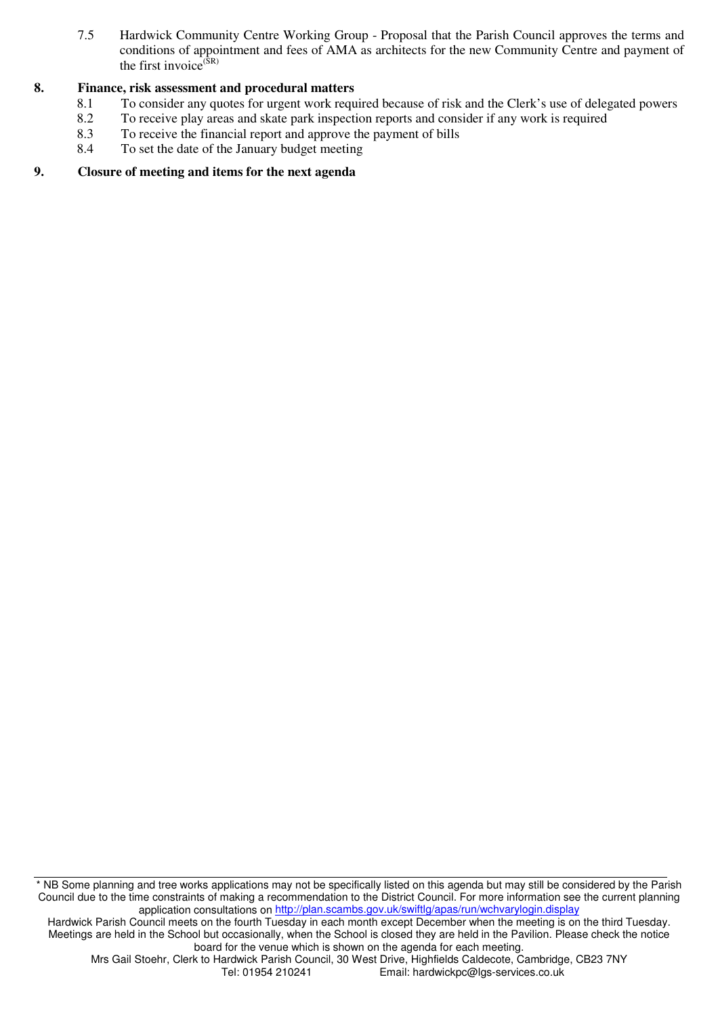7.5 Hardwick Community Centre Working Group - Proposal that the Parish Council approves the terms and conditions of appointment and fees of AMA as architects for the new Community Centre and payment of the first invoice  $(S<sub>R</sub>)$ 

## **8. Finance, risk assessment and procedural matters**

- 8.1 To consider any quotes for urgent work required because of risk and the Clerk's use of delegated powers
- 8.2 To receive play areas and skate park inspection reports and consider if any work is required
- 8.3 To receive the financial report and approve the payment of bills
- 8.4 To set the date of the January budget meeting

### **9. Closure of meeting and items for the next agenda**

Hardwick Parish Council meets on the fourth Tuesday in each month except December when the meeting is on the third Tuesday. Meetings are held in the School but occasionally, when the School is closed they are held in the Pavilion. Please check the notice board for the venue which is shown on the agenda for each meeting.

<sup>\*</sup> NB Some planning and tree works applications may not be specifically listed on this agenda but may still be considered by the Parish Council due to the time constraints of making a recommendation to the District Council. For more information see the current planning application consultations on http://plan.scambs.gov.uk/swiftlg/apas/run/wchvarylogin.display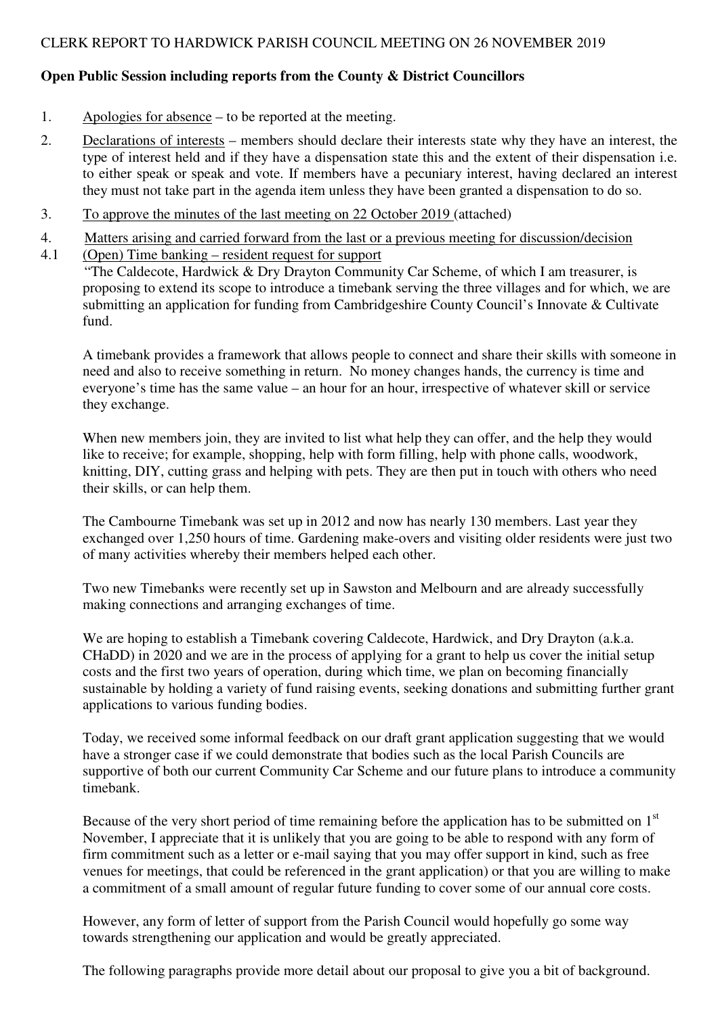# **Open Public Session including reports from the County & District Councillors**

- 1. Apologies for absence to be reported at the meeting.
- 2. Declarations of interests members should declare their interests state why they have an interest, the type of interest held and if they have a dispensation state this and the extent of their dispensation i.e. to either speak or speak and vote. If members have a pecuniary interest, having declared an interest they must not take part in the agenda item unless they have been granted a dispensation to do so.
- 3. To approve the minutes of the last meeting on 22 October 2019 (attached)
- 4. Matters arising and carried forward from the last or a previous meeting for discussion/decision
- 4.1 (Open) Time banking resident request for support

"The Caldecote, Hardwick & Dry Drayton Community Car Scheme, of which I am treasurer, is proposing to extend its scope to introduce a timebank serving the three villages and for which, we are submitting an application for funding from Cambridgeshire County Council's Innovate & Cultivate fund.

A timebank provides a framework that allows people to connect and share their skills with someone in need and also to receive something in return. No money changes hands, the currency is time and everyone's time has the same value – an hour for an hour, irrespective of whatever skill or service they exchange.

When new members join, they are invited to list what help they can offer, and the help they would like to receive; for example, shopping, help with form filling, help with phone calls, woodwork, knitting, DIY, cutting grass and helping with pets. They are then put in touch with others who need their skills, or can help them.

The Cambourne Timebank was set up in 2012 and now has nearly 130 members. Last year they exchanged over 1,250 hours of time. Gardening make-overs and visiting older residents were just two of many activities whereby their members helped each other.

Two new Timebanks were recently set up in Sawston and Melbourn and are already successfully making connections and arranging exchanges of time.

We are hoping to establish a Timebank covering Caldecote, Hardwick, and Dry Drayton (a.k.a. CHaDD) in 2020 and we are in the process of applying for a grant to help us cover the initial setup costs and the first two years of operation, during which time, we plan on becoming financially sustainable by holding a variety of fund raising events, seeking donations and submitting further grant applications to various funding bodies.

Today, we received some informal feedback on our draft grant application suggesting that we would have a stronger case if we could demonstrate that bodies such as the local Parish Councils are supportive of both our current Community Car Scheme and our future plans to introduce a community timebank.

Because of the very short period of time remaining before the application has to be submitted on 1<sup>st</sup> November, I appreciate that it is unlikely that you are going to be able to respond with any form of firm commitment such as a letter or e-mail saying that you may offer support in kind, such as free venues for meetings, that could be referenced in the grant application) or that you are willing to make a commitment of a small amount of regular future funding to cover some of our annual core costs.

However, any form of letter of support from the Parish Council would hopefully go some way towards strengthening our application and would be greatly appreciated.

The following paragraphs provide more detail about our proposal to give you a bit of background.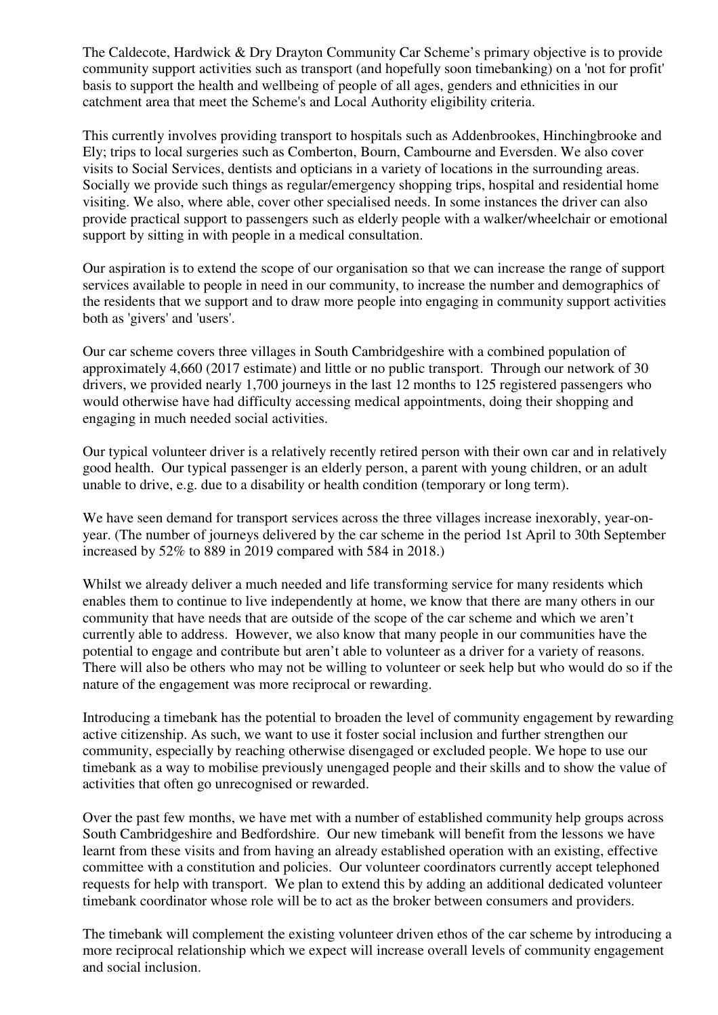The Caldecote, Hardwick & Dry Drayton Community Car Scheme's primary objective is to provide community support activities such as transport (and hopefully soon timebanking) on a 'not for profit' basis to support the health and wellbeing of people of all ages, genders and ethnicities in our catchment area that meet the Scheme's and Local Authority eligibility criteria.

This currently involves providing transport to hospitals such as Addenbrookes, Hinchingbrooke and Ely; trips to local surgeries such as Comberton, Bourn, Cambourne and Eversden. We also cover visits to Social Services, dentists and opticians in a variety of locations in the surrounding areas. Socially we provide such things as regular/emergency shopping trips, hospital and residential home visiting. We also, where able, cover other specialised needs. In some instances the driver can also provide practical support to passengers such as elderly people with a walker/wheelchair or emotional support by sitting in with people in a medical consultation.

Our aspiration is to extend the scope of our organisation so that we can increase the range of support services available to people in need in our community, to increase the number and demographics of the residents that we support and to draw more people into engaging in community support activities both as 'givers' and 'users'.

Our car scheme covers three villages in South Cambridgeshire with a combined population of approximately 4,660 (2017 estimate) and little or no public transport. Through our network of 30 drivers, we provided nearly 1,700 journeys in the last 12 months to 125 registered passengers who would otherwise have had difficulty accessing medical appointments, doing their shopping and engaging in much needed social activities.

Our typical volunteer driver is a relatively recently retired person with their own car and in relatively good health. Our typical passenger is an elderly person, a parent with young children, or an adult unable to drive, e.g. due to a disability or health condition (temporary or long term).

We have seen demand for transport services across the three villages increase inexorably, year-onyear. (The number of journeys delivered by the car scheme in the period 1st April to 30th September increased by 52% to 889 in 2019 compared with 584 in 2018.)

Whilst we already deliver a much needed and life transforming service for many residents which enables them to continue to live independently at home, we know that there are many others in our community that have needs that are outside of the scope of the car scheme and which we aren't currently able to address. However, we also know that many people in our communities have the potential to engage and contribute but aren't able to volunteer as a driver for a variety of reasons. There will also be others who may not be willing to volunteer or seek help but who would do so if the nature of the engagement was more reciprocal or rewarding.

Introducing a timebank has the potential to broaden the level of community engagement by rewarding active citizenship. As such, we want to use it foster social inclusion and further strengthen our community, especially by reaching otherwise disengaged or excluded people. We hope to use our timebank as a way to mobilise previously unengaged people and their skills and to show the value of activities that often go unrecognised or rewarded.

Over the past few months, we have met with a number of established community help groups across South Cambridgeshire and Bedfordshire. Our new timebank will benefit from the lessons we have learnt from these visits and from having an already established operation with an existing, effective committee with a constitution and policies. Our volunteer coordinators currently accept telephoned requests for help with transport. We plan to extend this by adding an additional dedicated volunteer timebank coordinator whose role will be to act as the broker between consumers and providers.

The timebank will complement the existing volunteer driven ethos of the car scheme by introducing a more reciprocal relationship which we expect will increase overall levels of community engagement and social inclusion.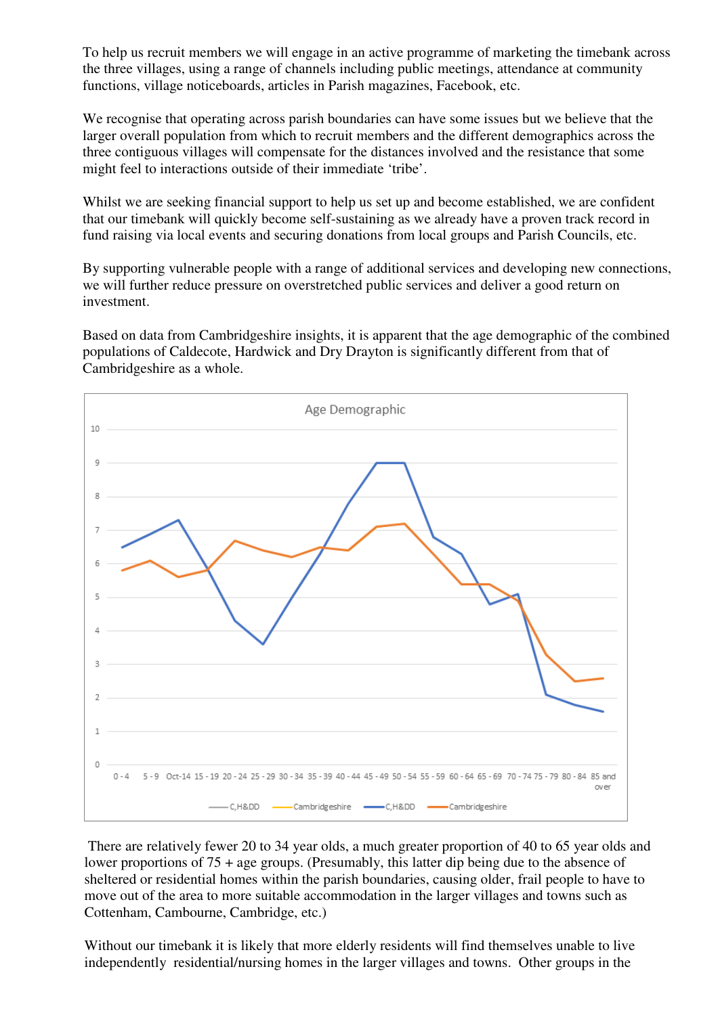To help us recruit members we will engage in an active programme of marketing the timebank across the three villages, using a range of channels including public meetings, attendance at community functions, village noticeboards, articles in Parish magazines, Facebook, etc.

We recognise that operating across parish boundaries can have some issues but we believe that the larger overall population from which to recruit members and the different demographics across the three contiguous villages will compensate for the distances involved and the resistance that some might feel to interactions outside of their immediate 'tribe'.

Whilst we are seeking financial support to help us set up and become established, we are confident that our timebank will quickly become self-sustaining as we already have a proven track record in fund raising via local events and securing donations from local groups and Parish Councils, etc.

By supporting vulnerable people with a range of additional services and developing new connections, we will further reduce pressure on overstretched public services and deliver a good return on investment.

Based on data from Cambridgeshire insights, it is apparent that the age demographic of the combined populations of Caldecote, Hardwick and Dry Drayton is significantly different from that of Cambridgeshire as a whole.



 There are relatively fewer 20 to 34 year olds, a much greater proportion of 40 to 65 year olds and lower proportions of 75 + age groups. (Presumably, this latter dip being due to the absence of sheltered or residential homes within the parish boundaries, causing older, frail people to have to move out of the area to more suitable accommodation in the larger villages and towns such as Cottenham, Cambourne, Cambridge, etc.)

Without our timebank it is likely that more elderly residents will find themselves unable to live independently residential/nursing homes in the larger villages and towns. Other groups in the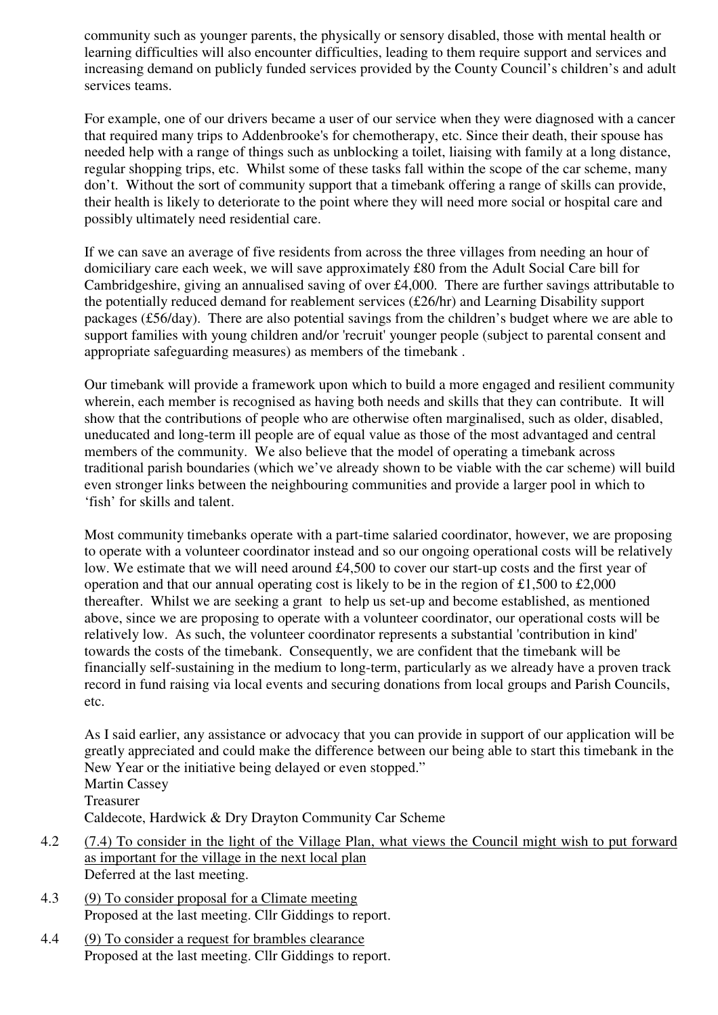community such as younger parents, the physically or sensory disabled, those with mental health or learning difficulties will also encounter difficulties, leading to them require support and services and increasing demand on publicly funded services provided by the County Council's children's and adult services teams.

For example, one of our drivers became a user of our service when they were diagnosed with a cancer that required many trips to Addenbrooke's for chemotherapy, etc. Since their death, their spouse has needed help with a range of things such as unblocking a toilet, liaising with family at a long distance, regular shopping trips, etc. Whilst some of these tasks fall within the scope of the car scheme, many don't. Without the sort of community support that a timebank offering a range of skills can provide, their health is likely to deteriorate to the point where they will need more social or hospital care and possibly ultimately need residential care.

If we can save an average of five residents from across the three villages from needing an hour of domiciliary care each week, we will save approximately £80 from the Adult Social Care bill for Cambridgeshire, giving an annualised saving of over £4,000. There are further savings attributable to the potentially reduced demand for reablement services (£26/hr) and Learning Disability support packages (£56/day). There are also potential savings from the children's budget where we are able to support families with young children and/or 'recruit' younger people (subject to parental consent and appropriate safeguarding measures) as members of the timebank .

Our timebank will provide a framework upon which to build a more engaged and resilient community wherein, each member is recognised as having both needs and skills that they can contribute. It will show that the contributions of people who are otherwise often marginalised, such as older, disabled, uneducated and long-term ill people are of equal value as those of the most advantaged and central members of the community. We also believe that the model of operating a timebank across traditional parish boundaries (which we've already shown to be viable with the car scheme) will build even stronger links between the neighbouring communities and provide a larger pool in which to 'fish' for skills and talent.

Most community timebanks operate with a part-time salaried coordinator, however, we are proposing to operate with a volunteer coordinator instead and so our ongoing operational costs will be relatively low. We estimate that we will need around £4,500 to cover our start-up costs and the first year of operation and that our annual operating cost is likely to be in the region of £1,500 to £2,000 thereafter. Whilst we are seeking a grant to help us set-up and become established, as mentioned above, since we are proposing to operate with a volunteer coordinator, our operational costs will be relatively low. As such, the volunteer coordinator represents a substantial 'contribution in kind' towards the costs of the timebank. Consequently, we are confident that the timebank will be financially self-sustaining in the medium to long-term, particularly as we already have a proven track record in fund raising via local events and securing donations from local groups and Parish Councils, etc.

As I said earlier, any assistance or advocacy that you can provide in support of our application will be greatly appreciated and could make the difference between our being able to start this timebank in the New Year or the initiative being delayed or even stopped." Martin Cassey Treasurer Caldecote, Hardwick & Dry Drayton Community Car Scheme

- 4.2 (7.4) To consider in the light of the Village Plan, what views the Council might wish to put forward as important for the village in the next local plan Deferred at the last meeting.
- 4.3 (9) To consider proposal for a Climate meeting Proposed at the last meeting. Cllr Giddings to report.
- 4.4 (9) To consider a request for brambles clearance Proposed at the last meeting. Cllr Giddings to report.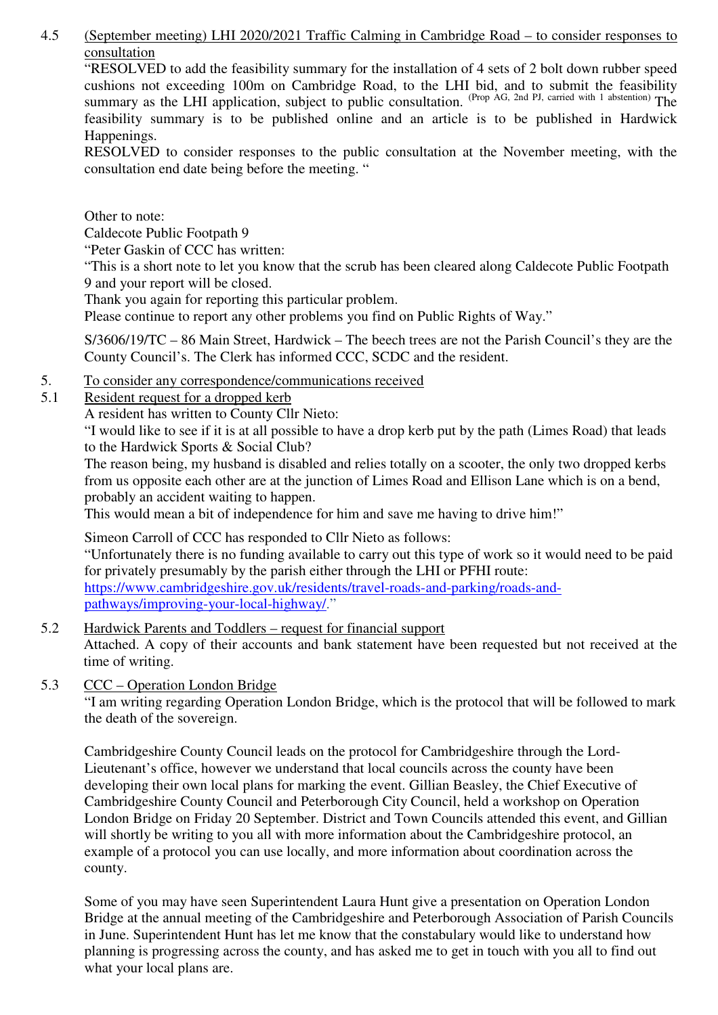4.5 (September meeting) LHI 2020/2021 Traffic Calming in Cambridge Road – to consider responses to consultation

"RESOLVED to add the feasibility summary for the installation of 4 sets of 2 bolt down rubber speed cushions not exceeding 100m on Cambridge Road, to the LHI bid, and to submit the feasibility summary as the LHI application, subject to public consultation. (Prop AG, 2nd PJ, carried with 1 abstention) The feasibility summary is to be published online and an article is to be published in Hardwick Happenings.

RESOLVED to consider responses to the public consultation at the November meeting, with the consultation end date being before the meeting. "

Other to note:

Caldecote Public Footpath 9

"Peter Gaskin of CCC has written:

"This is a short note to let you know that the scrub has been cleared along Caldecote Public Footpath 9 and your report will be closed.

Thank you again for reporting this particular problem.

Please continue to report any other problems you find on Public Rights of Way."

S/3606/19/TC – 86 Main Street, Hardwick – The beech trees are not the Parish Council's they are the County Council's. The Clerk has informed CCC, SCDC and the resident.

## 5. To consider any correspondence/communications received

# 5.1 Resident request for a dropped kerb

A resident has written to County Cllr Nieto:

"I would like to see if it is at all possible to have a drop kerb put by the path (Limes Road) that leads to the Hardwick Sports & Social Club?

The reason being, my husband is disabled and relies totally on a scooter, the only two dropped kerbs from us opposite each other are at the junction of Limes Road and Ellison Lane which is on a bend, probably an accident waiting to happen.

This would mean a bit of independence for him and save me having to drive him!"

Simeon Carroll of CCC has responded to Cllr Nieto as follows: "Unfortunately there is no funding available to carry out this type of work so it would need to be paid for privately presumably by the parish either through the LHI or PFHI route:

https://www.cambridgeshire.gov.uk/residents/travel-roads-and-parking/roads-andpathways/improving-your-local-highway/."

# 5.2 Hardwick Parents and Toddlers – request for financial support

Attached. A copy of their accounts and bank statement have been requested but not received at the time of writing.

# 5.3 CCC – Operation London Bridge

"I am writing regarding Operation London Bridge, which is the protocol that will be followed to mark the death of the sovereign.

Cambridgeshire County Council leads on the protocol for Cambridgeshire through the Lord-Lieutenant's office, however we understand that local councils across the county have been developing their own local plans for marking the event. Gillian Beasley, the Chief Executive of Cambridgeshire County Council and Peterborough City Council, held a workshop on Operation London Bridge on Friday 20 September. District and Town Councils attended this event, and Gillian will shortly be writing to you all with more information about the Cambridgeshire protocol, an example of a protocol you can use locally, and more information about coordination across the county.

Some of you may have seen Superintendent Laura Hunt give a presentation on Operation London Bridge at the annual meeting of the Cambridgeshire and Peterborough Association of Parish Councils in June. Superintendent Hunt has let me know that the constabulary would like to understand how planning is progressing across the county, and has asked me to get in touch with you all to find out what your local plans are.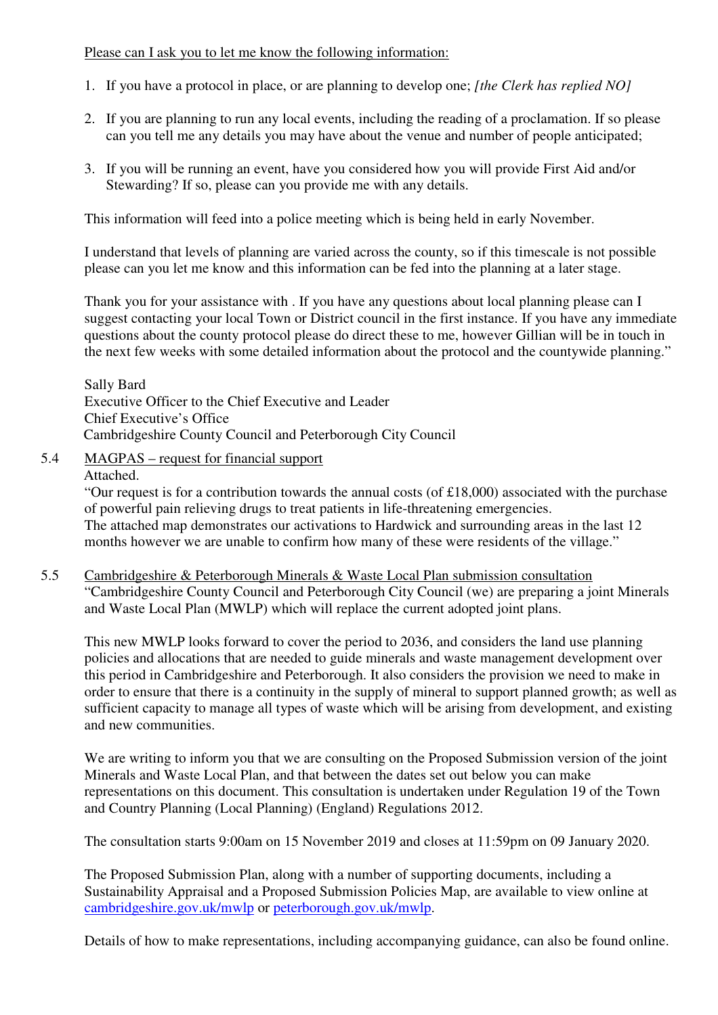Please can I ask you to let me know the following information:

- 1. If you have a protocol in place, or are planning to develop one; *[the Clerk has replied NO]*
- 2. If you are planning to run any local events, including the reading of a proclamation. If so please can you tell me any details you may have about the venue and number of people anticipated;
- 3. If you will be running an event, have you considered how you will provide First Aid and/or Stewarding? If so, please can you provide me with any details.

This information will feed into a police meeting which is being held in early November.

I understand that levels of planning are varied across the county, so if this timescale is not possible please can you let me know and this information can be fed into the planning at a later stage.

Thank you for your assistance with . If you have any questions about local planning please can I suggest contacting your local Town or District council in the first instance. If you have any immediate questions about the county protocol please do direct these to me, however Gillian will be in touch in the next few weeks with some detailed information about the protocol and the countywide planning."

Sally Bard Executive Officer to the Chief Executive and Leader Chief Executive's Office Cambridgeshire County Council and Peterborough City Council

5.4 MAGPAS – request for financial support

Attached.

"Our request is for a contribution towards the annual costs (of  $£18,000$ ) associated with the purchase of powerful pain relieving drugs to treat patients in life-threatening emergencies. The attached map demonstrates our activations to Hardwick and surrounding areas in the last 12 months however we are unable to confirm how many of these were residents of the village."

5.5 Cambridgeshire & Peterborough Minerals & Waste Local Plan submission consultation "Cambridgeshire County Council and Peterborough City Council (we) are preparing a joint Minerals and Waste Local Plan (MWLP) which will replace the current adopted joint plans.

This new MWLP looks forward to cover the period to 2036, and considers the land use planning policies and allocations that are needed to guide minerals and waste management development over this period in Cambridgeshire and Peterborough. It also considers the provision we need to make in order to ensure that there is a continuity in the supply of mineral to support planned growth; as well as sufficient capacity to manage all types of waste which will be arising from development, and existing and new communities.

We are writing to inform you that we are consulting on the Proposed Submission version of the joint Minerals and Waste Local Plan, and that between the dates set out below you can make representations on this document. This consultation is undertaken under Regulation 19 of the Town and Country Planning (Local Planning) (England) Regulations 2012.

The consultation starts 9:00am on 15 November 2019 and closes at 11:59pm on 09 January 2020.

The Proposed Submission Plan, along with a number of supporting documents, including a Sustainability Appraisal and a Proposed Submission Policies Map, are available to view online at cambridgeshire.gov.uk/mwlp or peterborough.gov.uk/mwlp.

Details of how to make representations, including accompanying guidance, can also be found online.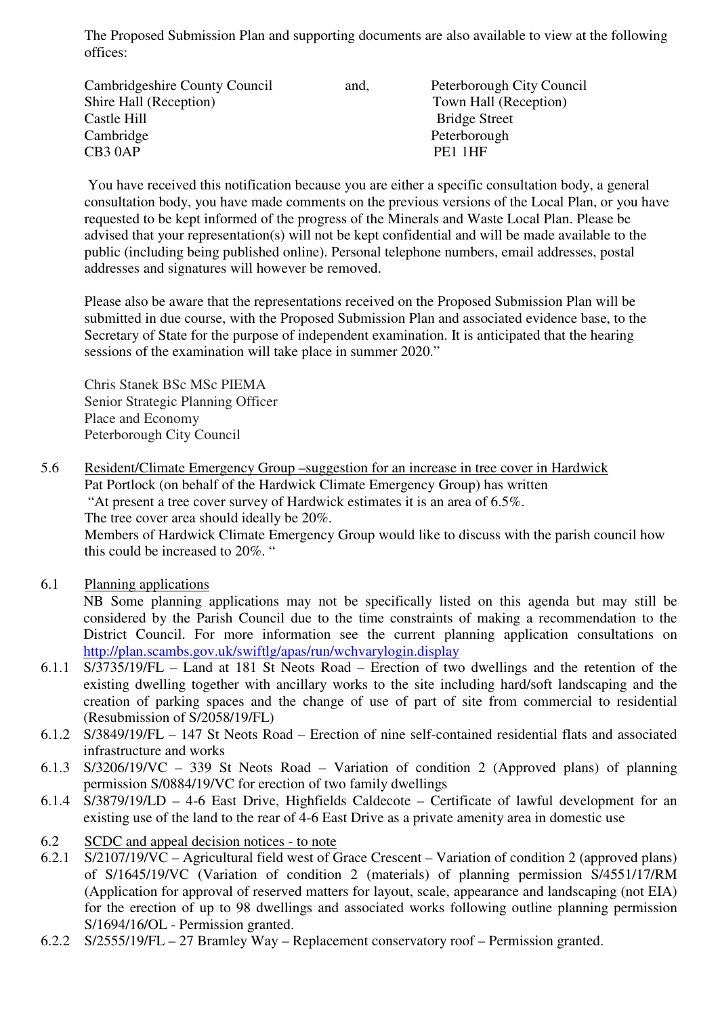The Proposed Submission Plan and supporting documents are also available to view at the following offices:

| Cambridgeshire County Council | and, | Peterborough City Council |
|-------------------------------|------|---------------------------|
| Shire Hall (Reception)        |      | Town Hall (Reception)     |
| Castle Hill                   |      | <b>Bridge Street</b>      |
| Cambridge                     |      | Peterborough              |
| CB3 0AP                       |      | <b>PE1 1HF</b>            |

 You have received this notification because you are either a specific consultation body, a general consultation body, you have made comments on the previous versions of the Local Plan, or you have requested to be kept informed of the progress of the Minerals and Waste Local Plan. Please be advised that your representation(s) will not be kept confidential and will be made available to the public (including being published online). Personal telephone numbers, email addresses, postal addresses and signatures will however be removed.

Please also be aware that the representations received on the Proposed Submission Plan will be submitted in due course, with the Proposed Submission Plan and associated evidence base, to the Secretary of State for the purpose of independent examination. It is anticipated that the hearing sessions of the examination will take place in summer 2020."

Chris Stanek BSc MSc PIEMA Senior Strategic Planning Officer Place and Economy Peterborough City Council

5.6 Resident/Climate Emergency Group –suggestion for an increase in tree cover in Hardwick Pat Portlock (on behalf of the Hardwick Climate Emergency Group) has written "At present a tree cover survey of Hardwick estimates it is an area of 6.5%. The tree cover area should ideally be 20%.

Members of Hardwick Climate Emergency Group would like to discuss with the parish council how this could be increased to 20%. "

6.1 Planning applications

NB Some planning applications may not be specifically listed on this agenda but may still be considered by the Parish Council due to the time constraints of making a recommendation to the District Council. For more information see the current planning application consultations on http://plan.scambs.gov.uk/swiftlg/apas/run/wchvarylogin.display

- 6.1.1 S/3735/19/FL Land at 181 St Neots Road Erection of two dwellings and the retention of the existing dwelling together with ancillary works to the site including hard/soft landscaping and the creation of parking spaces and the change of use of part of site from commercial to residential (Resubmission of S/2058/19/FL)
- 6.1.2 S/3849/19/FL 147 St Neots Road Erection of nine self-contained residential flats and associated infrastructure and works
- 6.1.3 S/3206/19/VC 339 St Neots Road Variation of condition 2 (Approved plans) of planning permission S/0884/19/VC for erection of two family dwellings
- 6.1.4 S/3879/19/LD 4-6 East Drive, Highfields Caldecote Certificate of lawful development for an existing use of the land to the rear of 4-6 East Drive as a private amenity area in domestic use
- 6.2 SCDC and appeal decision notices to note
- 6.2.1 S/2107/19/VC Agricultural field west of Grace Crescent Variation of condition 2 (approved plans) of S/1645/19/VC (Variation of condition 2 (materials) of planning permission S/4551/17/RM (Application for approval of reserved matters for layout, scale, appearance and landscaping (not EIA) for the erection of up to 98 dwellings and associated works following outline planning permission S/1694/16/OL - Permission granted.
- 6.2.2 S/2555/19/FL 27 Bramley Way Replacement conservatory roof Permission granted.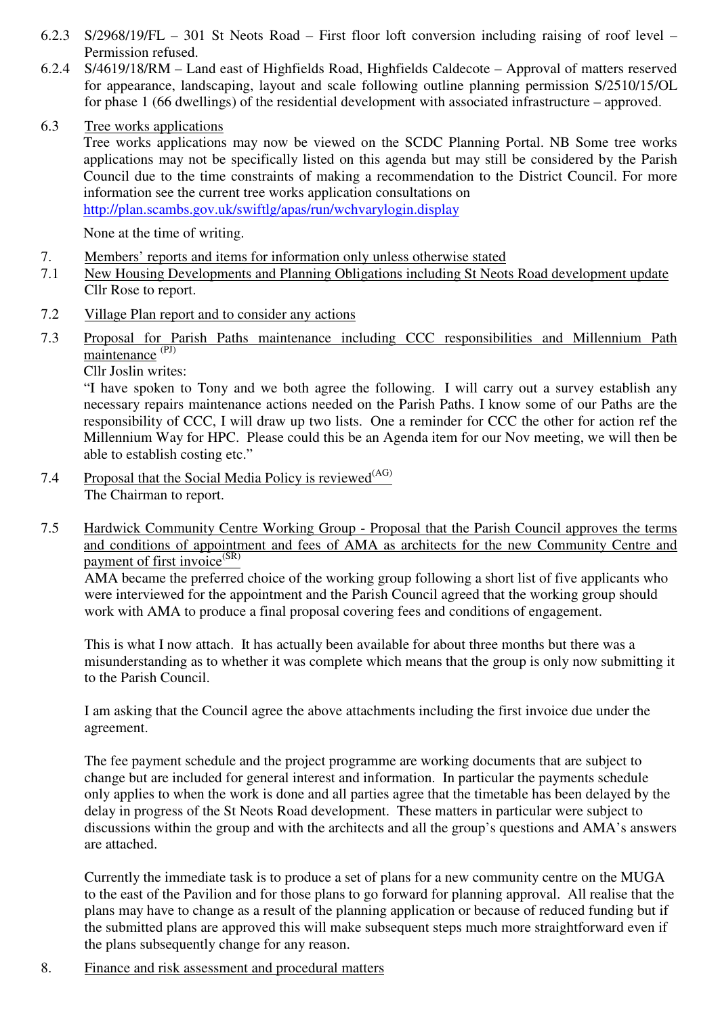- 6.2.3 S/2968/19/FL 301 St Neots Road First floor loft conversion including raising of roof level Permission refused.
- 6.2.4 S/4619/18/RM Land east of Highfields Road, Highfields Caldecote Approval of matters reserved for appearance, landscaping, layout and scale following outline planning permission S/2510/15/OL for phase 1 (66 dwellings) of the residential development with associated infrastructure – approved.
- 6.3 Tree works applications

Tree works applications may now be viewed on the SCDC Planning Portal. NB Some tree works applications may not be specifically listed on this agenda but may still be considered by the Parish Council due to the time constraints of making a recommendation to the District Council. For more information see the current tree works application consultations on http://plan.scambs.gov.uk/swiftlg/apas/run/wchvarylogin.display

None at the time of writing.

- 7. Members' reports and items for information only unless otherwise stated
- 7.1 New Housing Developments and Planning Obligations including St Neots Road development update Cllr Rose to report.
- 7.2 Village Plan report and to consider any actions
- 7.3 Proposal for Parish Paths maintenance including CCC responsibilities and Millennium Path maintenance  $(PJ)$

Cllr Joslin writes:

"I have spoken to Tony and we both agree the following. I will carry out a survey establish any necessary repairs maintenance actions needed on the Parish Paths. I know some of our Paths are the responsibility of CCC, I will draw up two lists. One a reminder for CCC the other for action ref the Millennium Way for HPC. Please could this be an Agenda item for our Nov meeting, we will then be able to establish costing etc."

- 7.4 Proposal that the Social Media Policy is reviewed<sup>(AG)</sup> The Chairman to report.
- 7.5 Hardwick Community Centre Working Group Proposal that the Parish Council approves the terms and conditions of appointment and fees of AMA as architects for the new Community Centre and payment of first invoice $(S<sup>R</sup>)$

AMA became the preferred choice of the working group following a short list of five applicants who were interviewed for the appointment and the Parish Council agreed that the working group should work with AMA to produce a final proposal covering fees and conditions of engagement.

This is what I now attach. It has actually been available for about three months but there was a misunderstanding as to whether it was complete which means that the group is only now submitting it to the Parish Council.

I am asking that the Council agree the above attachments including the first invoice due under the agreement.

The fee payment schedule and the project programme are working documents that are subject to change but are included for general interest and information. In particular the payments schedule only applies to when the work is done and all parties agree that the timetable has been delayed by the delay in progress of the St Neots Road development. These matters in particular were subject to discussions within the group and with the architects and all the group's questions and AMA's answers are attached.

Currently the immediate task is to produce a set of plans for a new community centre on the MUGA to the east of the Pavilion and for those plans to go forward for planning approval. All realise that the plans may have to change as a result of the planning application or because of reduced funding but if the submitted plans are approved this will make subsequent steps much more straightforward even if the plans subsequently change for any reason.

8. Finance and risk assessment and procedural matters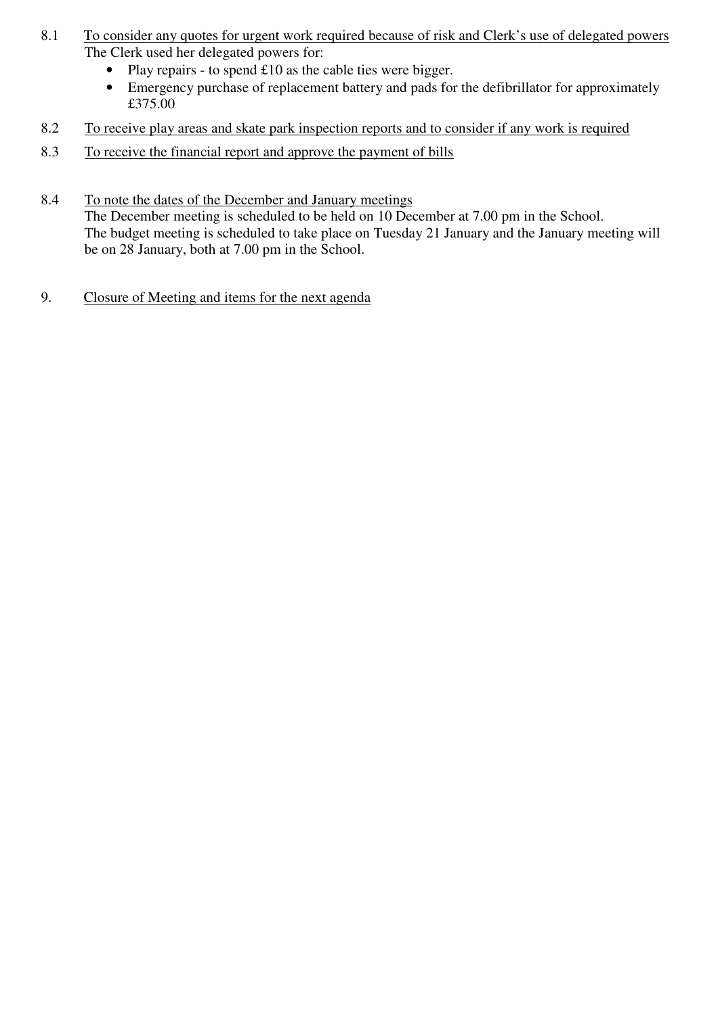- 8.1 To consider any quotes for urgent work required because of risk and Clerk's use of delegated powers The Clerk used her delegated powers for:
	- Play repairs to spend £10 as the cable ties were bigger.
	- Emergency purchase of replacement battery and pads for the defibrillator for approximately £375.00
- 8.2 To receive play areas and skate park inspection reports and to consider if any work is required
- 8.3 To receive the financial report and approve the payment of bills
- 8.4 To note the dates of the December and January meetings The December meeting is scheduled to be held on 10 December at 7.00 pm in the School. The budget meeting is scheduled to take place on Tuesday 21 January and the January meeting will be on 28 January, both at 7.00 pm in the School.
- 9. Closure of Meeting and items for the next agenda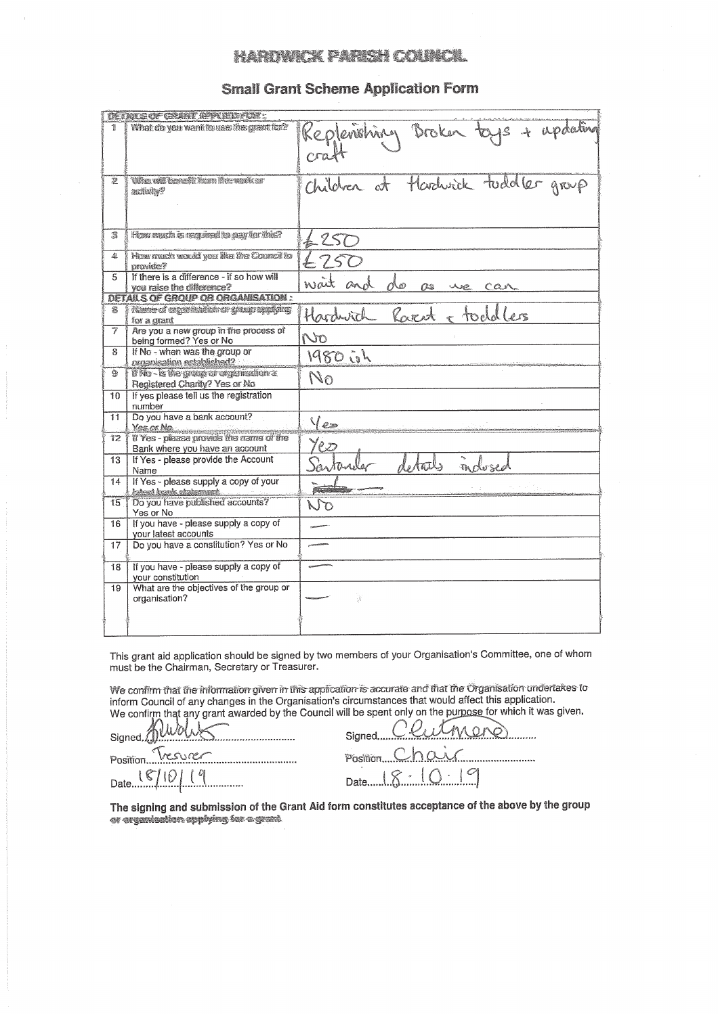### 11 EXTERNETE TATUELL TYPERING.

### **Small Grant Scheme Application Form**

|    | DETAILS OF GRAVIT SPPLED FOR :                                            |                                           |
|----|---------------------------------------------------------------------------|-------------------------------------------|
|    | What do you want to use the grant for?                                    | Replenshing Broken toys + updating        |
| 翏  | Who will beareful hours the work or<br>andiwhy?                           | Children at Hardwick tudoller group       |
| 邃  | How much is required to pay for this?                                     | 6250                                      |
| 4. | How much vould you like the Council to<br>provide?                        | £250                                      |
| 5. | If there is a difference - if so how will<br>you raise the difference?    | wait and<br>dφ<br>$\alpha$ s<br>we<br>can |
|    | <b>DETAILS OF GROUP OR ORGANISATION:</b>                                  |                                           |
| 翁  | Nams of organization or group applying<br>for a crant                     | Hardwich<br>Raent<br>+ todales            |
| 7  | Are you a new group in the process of<br>being formed? Yes or No          | NO                                        |
| 8  | If No - when was the group or<br>organisation established?                | 1980 ish                                  |
| g, | If No - is the group or organisation a<br>Registered Charity? Yes or No   | $N_{\Omega}$                              |
| 10 | If yes please tell us the registration<br>number                          |                                           |
| 11 | Do you have a bank account?<br><b>Yes or No.</b>                          | Yes                                       |
| 12 | If Yes - please provide the name of the<br>Bank where you have an account | Ye.p                                      |
| 13 | If Yes - please provide the Account<br>Name                               | otals<br>molosed                          |
| 14 | If Yes - please supply a copy of your<br>latent hank statement.           | <b>ACCORDED</b>                           |
| 15 | Do you have published accounts?<br>Yes or No                              | NO                                        |
| 16 | If you have - please supply a copy of<br>your latest accounts             |                                           |
| 17 | Do you have a constitution? Yes or No                                     |                                           |
| 18 | If you have - please supply a copy of<br>vour constitution                |                                           |
| 19 | What are the objectives of the group or<br>organisation?                  | b                                         |
|    |                                                                           |                                           |

This grant aid application should be signed by two members of your Organisation's Committee, one of whom must be the Chairman, Secretary or Treasurer.

We confirm that the information given in this application is accurate and that the Organisation undertakes to inform Gouncil of any changes in the Organisation's circumstances that would affect this application.<br>We confirm that any grant awarded by the Council will be spent only on the purpose for which it was given.

Signed, Position.  $P \subseteq C \setminus C^p$ Date.  $\sqrt{\frac{2}{10}}$ ..........

 $or$ e **Signed** Position. . . . . . . . . . . . . . . . . . C Date...

The signing and submission of the Grant Aid form constitutes acceptance of the above by the group or organisation applying for a grant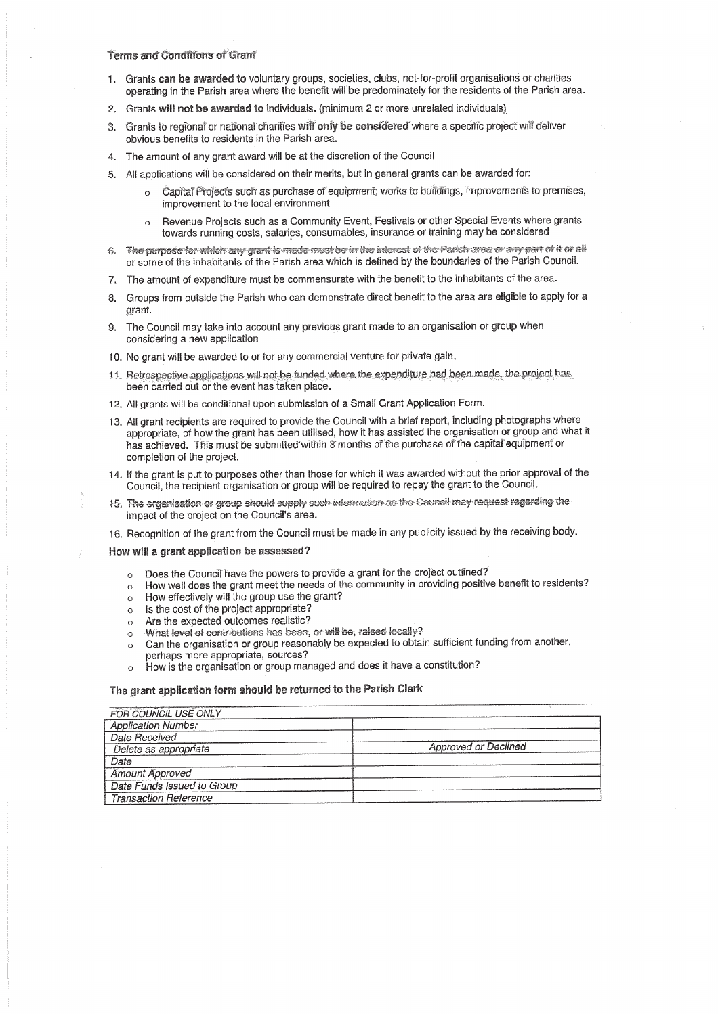### Terms and Conditions of Grant

- 1. Grants can be awarded to voluntary groups, societies, clubs, not-for-profit organisations or charities operating in the Parish area where the benefit will be predominately for the residents of the Parish area.
- Grants will not be awarded to individuals, (minimum 2 or more unrelated individuals)  $2.$
- 3. Grants to regional or national charities will only be considered where a specific project will deliver obvious benefits to residents in the Parish area.
- 4. The amount of any grant award will be at the discretion of the Council
- 5. All applications will be considered on their merits, but in general grants can be awarded for:
	- Capital Projects such as purchase of equipment, works to buildings, improvements to premises.  $\sigma$ improvement to the local environment
	- Revenue Projects such as a Community Event, Festivals or other Special Events where grants  $\sim$ towards running costs, salaries, consumables, insurance or training may be considered
- 6. The purpose for which any grant is made must be in the interest of the Parish area or any part of it or all or some of the inhabitants of the Parish area which is defined by the boundaries of the Parish Council.
- 7. The amount of expenditure must be commensurate with the benefit to the inhabitants of the area.
- 8. Groups from outside the Parish who can demonstrate direct benefit to the area are eligible to apply for a grant
- 9. The Council may take into account any previous grant made to an organisation or group when considering a new application
- 10. No grant will be awarded to or for any commercial venture for private gain.
- 11. Retrospective applications will not be funded where the expenditure had been made, the project has been carried out or the event has taken place.
- 12. All grants will be conditional upon submission of a Small Grant Application Form.
- 13. All grant recipients are required to provide the Council with a brief report, including photographs where appropriate, of how the grant has been utilised, how it has assisted the organisation or group and what it has achieved. This must be submitted within 3 months of the purchase of the capital equipment or completion of the project.
- 14. If the grant is put to purposes other than those for which it was awarded without the prior approval of the Council, the recipient organisation or group will be required to repay the grant to the Council.
- 15. The organisation or group should supply such information as the Council may request regarding the impact of the project on the Council's area.
- 16. Recognition of the grant from the Council must be made in any publicity issued by the receiving body.

### How will a grant application be assessed?

- Does the Council have the powers to provide a grant for the project outlined?  $\circ$
- How well does the grant meet the needs of the community in providing positive benefit to residents?  $\circ$
- How effectively will the group use the grant?  $\circ$
- o Is the cost of the project appropriate?
- Are the expected outcomes realistic?  $\circ$
- o What level of contributions has been, or will be, raised locally?
- Can the organisation or group reasonably be expected to obtain sufficient funding from another,  $\circ$
- perhaps more appropriate, sources?
- How is the organisation or group managed and does it have a constitution?  $\circ$

### The grant application form should be returned to the Parish Clerk

| FOR COUNCIL USE ONLY         |                             |
|------------------------------|-----------------------------|
| <b>Application Number</b>    |                             |
| Date Received                |                             |
| Delete as appropriate        | <b>Approved or Declined</b> |
| Date                         |                             |
| Amount Approved              |                             |
| Date Funds Issued to Group   |                             |
| <b>Transaction Reference</b> |                             |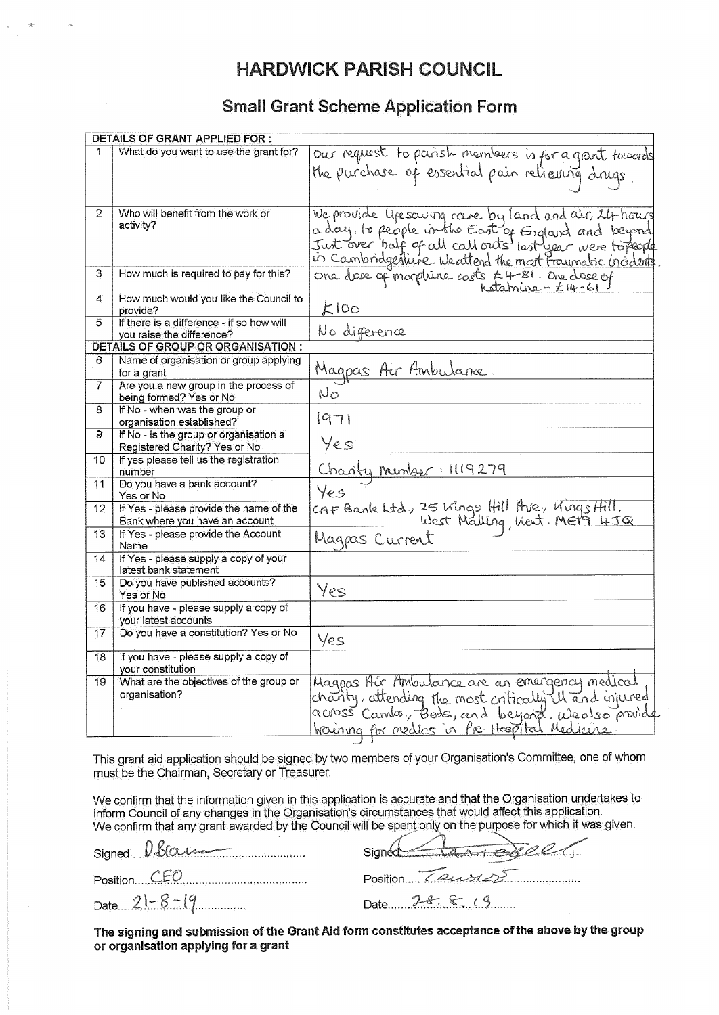# **HARDWICK PARISH COUNCIL**

# **Small Grant Scheme Application Form**

|    | DETAILS OF GRANT APPLIED FOR :                                            |                                                                                                                                                                             |
|----|---------------------------------------------------------------------------|-----------------------------------------------------------------------------------------------------------------------------------------------------------------------------|
| 1  | What do you want to use the grant for?                                    |                                                                                                                                                                             |
|    |                                                                           | our request to painst members is for a grant towards                                                                                                                        |
|    |                                                                           |                                                                                                                                                                             |
|    |                                                                           |                                                                                                                                                                             |
| 2  | Who will benefit from the work or                                         |                                                                                                                                                                             |
|    | activity?                                                                 | We provide lipesaurog care by land and air, lit hours                                                                                                                       |
|    |                                                                           |                                                                                                                                                                             |
|    |                                                                           |                                                                                                                                                                             |
|    |                                                                           | a day, to people in the East of England and beyond<br>Just over half of all call outs last year were to people<br>in Cambridgesliure. Weattend the most traumatic incidents |
| 3  | How much is required to pay for this?                                     | One doce of morphine costs $64-81$ . One dose of                                                                                                                            |
|    |                                                                           |                                                                                                                                                                             |
| 4  | How much would you like the Council to<br>provide?                        | klo                                                                                                                                                                         |
| 5  | If there is a difference - if so how will                                 |                                                                                                                                                                             |
|    | you raise the difference?                                                 | No difference                                                                                                                                                               |
|    | <b>DETAILS OF GROUP OR ORGANISATION:</b>                                  |                                                                                                                                                                             |
| 6  | Name of organisation or group applying                                    |                                                                                                                                                                             |
|    | for a grant                                                               | Magpas Air Ambulance.                                                                                                                                                       |
| 7  | Are you a new group in the process of                                     | $N_{\mathcal{O}}$                                                                                                                                                           |
| 8  | being formed? Yes or No                                                   |                                                                                                                                                                             |
|    | If No - when was the group or<br>organisation established?                | (97)                                                                                                                                                                        |
| 9  | If No - is the group or organisation a                                    |                                                                                                                                                                             |
|    | Registered Charity? Yes or No                                             | Yes                                                                                                                                                                         |
| 10 | If yes please tell us the registration                                    |                                                                                                                                                                             |
|    | number                                                                    | Charity Munker: 1119279                                                                                                                                                     |
| 11 | Do you have a bank account?                                               | Yes                                                                                                                                                                         |
|    | Yes or No                                                                 |                                                                                                                                                                             |
| 12 | If Yes - please provide the name of the<br>Bank where you have an account | CAF Bank Ltd., 25 kings Hill Ave., Kings Hill,<br>45Q                                                                                                                       |
| 13 | If Yes - please provide the Account                                       |                                                                                                                                                                             |
|    | Name                                                                      | Magpas Current                                                                                                                                                              |
| 14 | If Yes - please supply a copy of your                                     |                                                                                                                                                                             |
|    | latest bank statement                                                     |                                                                                                                                                                             |
| 15 | Do you have published accounts?                                           | Yes                                                                                                                                                                         |
|    | Yes or No                                                                 |                                                                                                                                                                             |
| 16 | If you have - please supply a copy of                                     |                                                                                                                                                                             |
| 17 | your latest accounts<br>Do you have a constitution? Yes or No             |                                                                                                                                                                             |
|    |                                                                           | Yes                                                                                                                                                                         |
| 18 | If you have - please supply a copy of                                     |                                                                                                                                                                             |
|    | your constitution                                                         |                                                                                                                                                                             |
| 19 | What are the objectives of the group or                                   | Magpas Air Ambulance are an emergency medical                                                                                                                               |
|    | organisation?                                                             | charity, attending the most critically the and injured                                                                                                                      |
|    |                                                                           | across Cambry Beds, and beyond. We also provide                                                                                                                             |
|    |                                                                           | <u>training for medics in Pre-Hospital Medicine</u>                                                                                                                         |
|    |                                                                           |                                                                                                                                                                             |

This grant aid application should be signed by two members of your Organisation's Committee, one of whom must be the Chairman, Secretary or Treasurer.

We confirm that the information given in this application is accurate and that the Organisation undertakes to<br>inform Council of any changes in the Organisation's circumstances that would affect this application.<br>We confirm

| Signed DSau  |  |
|--------------|--|
| Position CEO |  |

| Date $2! \cdot 0 \cdot 1$ | $Q =  G $ |  |  |
|---------------------------|-----------|--|--|
|                           |           |  |  |

 $A = 822.0$ Signed

Position  $Z$ 

Date  $286.9$ 

The signing and submission of the Grant Aid form constitutes acceptance of the above by the group or organisation applying for a grant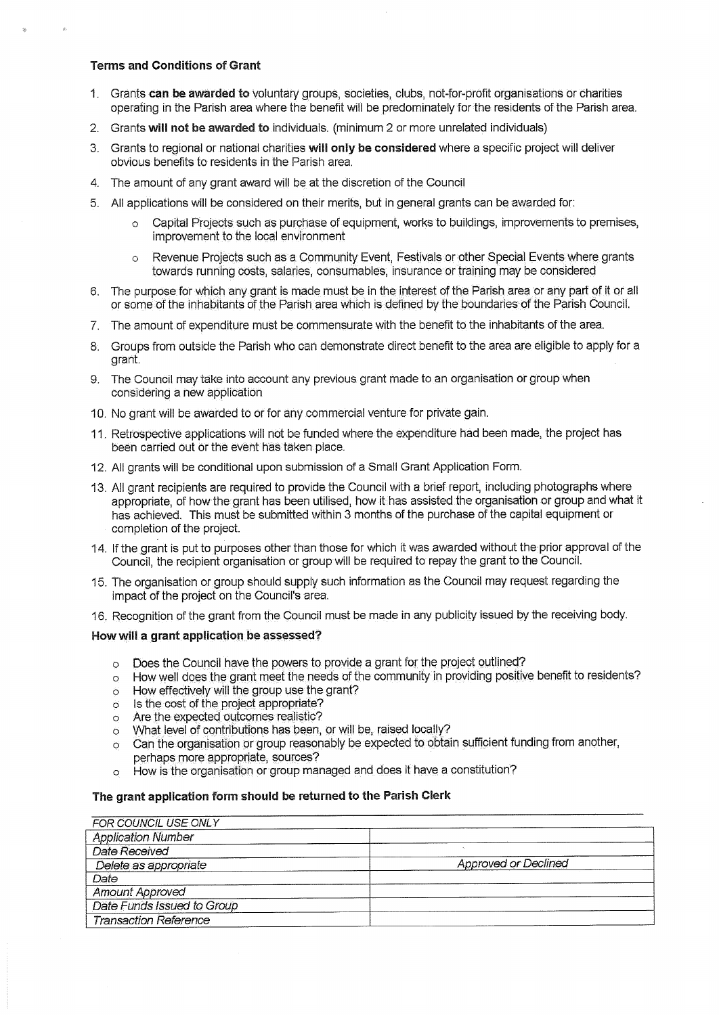### **Terms and Conditions of Grant**

- 1. Grants can be awarded to voluntary groups, societies, clubs, not-for-profit organisations or charities operating in the Parish area where the benefit will be predominately for the residents of the Parish area.
- 2. Grants will not be awarded to individuals. (minimum 2 or more unrelated individuals)
- 3. Grants to regional or national charities will only be considered where a specific project will deliver obvious benefits to residents in the Parish area.
- 4. The amount of any grant award will be at the discretion of the Council
- 5. All applications will be considered on their merits, but in general grants can be awarded for:
	- Capital Projects such as purchase of equipment, works to buildings, improvements to premises, improvement to the local environment
	- Revenue Projects such as a Community Event. Festivals or other Special Events where grants  $\sim$ towards running costs, salaries, consumables, insurance or training may be considered
- 6. The purpose for which any grant is made must be in the interest of the Parish area or any part of it or all or some of the inhabitants of the Parish area which is defined by the boundaries of the Parish Council.
- 7. The amount of expenditure must be commensurate with the benefit to the inhabitants of the area.
- 8. Groups from outside the Parish who can demonstrate direct benefit to the area are eligible to apply for a arant.
- The Council may take into account any previous grant made to an organisation or group when  $9<sub>1</sub>$ considering a new application
- 10. No grant will be awarded to or for any commercial venture for private gain.
- 11. Retrospective applications will not be funded where the expenditure had been made, the project has been carried out or the event has taken place.
- 12. All grants will be conditional upon submission of a Small Grant Application Form.
- 13. All grant recipients are required to provide the Council with a brief report, including photographs where appropriate, of how the grant has been utilised, how it has assisted the organisation or group and what it has achieved. This must be submitted within 3 months of the purchase of the capital equipment or completion of the project.
- 14. If the grant is put to purposes other than those for which it was awarded without the prior approval of the Council, the recipient organisation or group will be required to repay the grant to the Council.
- 15. The organisation or group should supply such information as the Council may request regarding the impact of the project on the Council's area.
- 16. Recognition of the grant from the Council must be made in any publicity issued by the receiving body.

### How will a grant application be assessed?

- Does the Council have the powers to provide a grant for the project outlined?  $\circ$
- How well does the grant meet the needs of the community in providing positive benefit to residents?  $\Omega$
- How effectively will the group use the grant? ö.
- Is the cost of the project appropriate?  $\tilde{\sigma}$ .
- Are the expected outcomes realistic?  $\circ$
- What level of contributions has been, or will be, raised locally?  $\sigma$
- Can the organisation or group reasonably be expected to obtain sufficient funding from another, perhaps more appropriate, sources?
- How is the organisation or group managed and does it have a constitution?

### The grant application form should be returned to the Parish Clerk

| <b>FOR COUNCIL USE ONLY</b>  |                             |
|------------------------------|-----------------------------|
| <b>Application Number</b>    |                             |
| Date Received                |                             |
| Delete as appropriate        | <b>Approved or Declined</b> |
| Date                         |                             |
| <b>Amount Approved</b>       |                             |
| Date Funds Issued to Group   |                             |
| <b>Transaction Reference</b> |                             |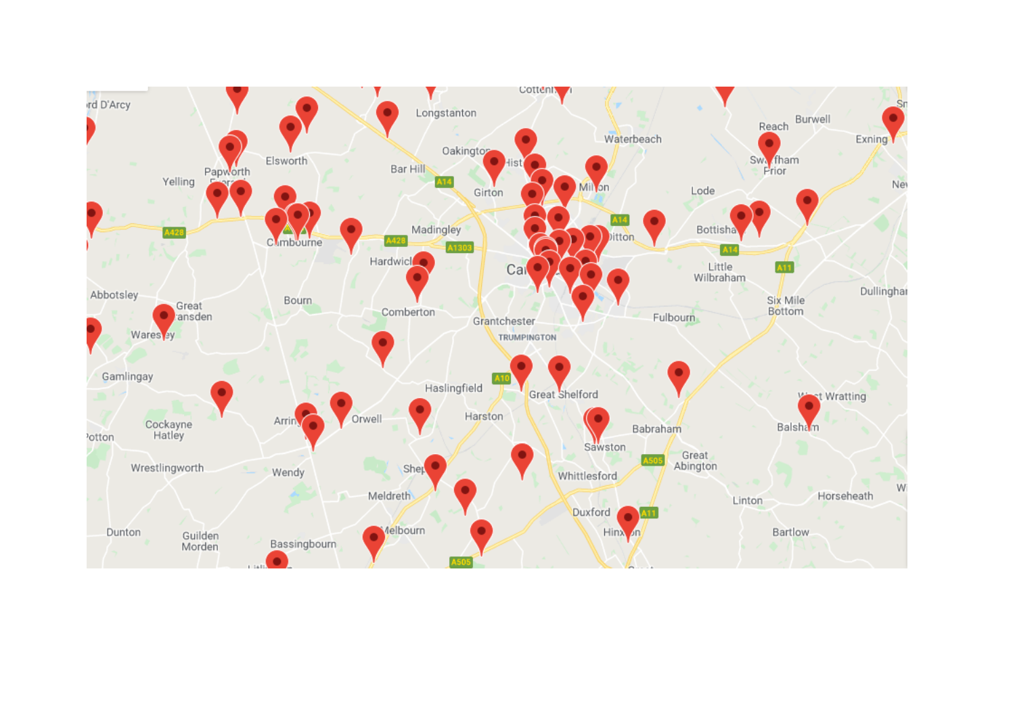